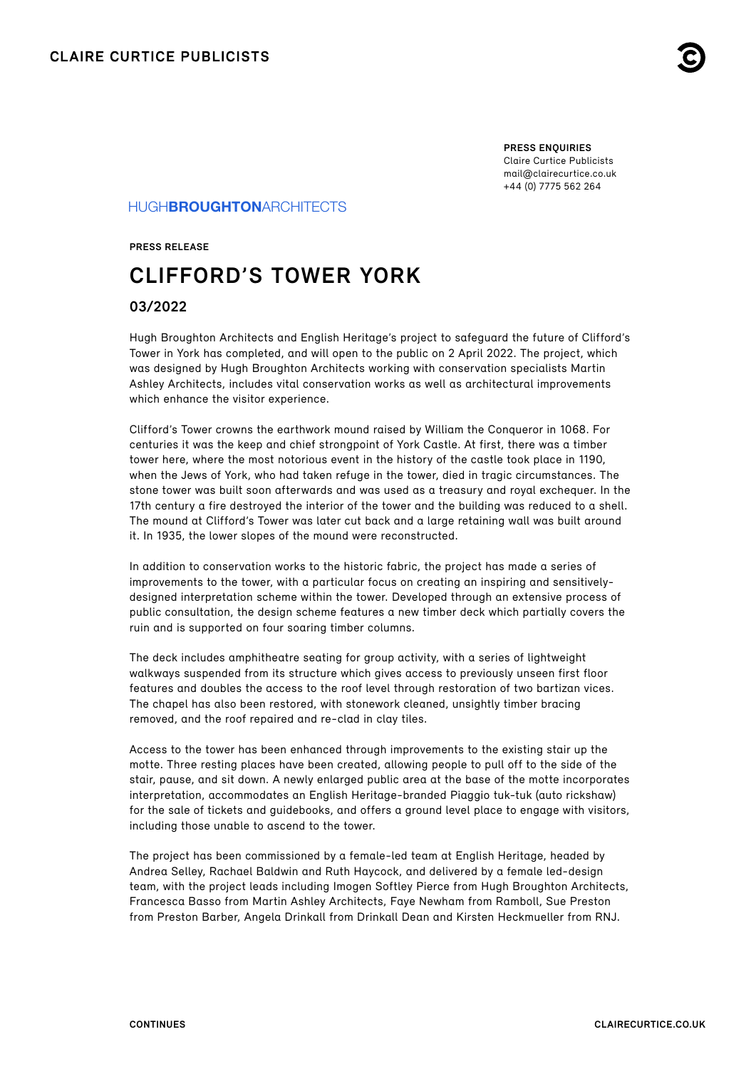

**PRESS ENQUIRIES** Claire Curtice Publicists [mail@clairecurtice.co.uk](mailto:mail@clairecurtice.co.uk?subject=Hugh Broughton Architects - Clifford) +44 (0) 7775 562 264

## HUGH**BROUGHTON**ARCHITECTS

**PRESS RELEASE**

# **CLIFFORD'S TOWER YORK**

### **03/2022**

Hugh Broughton Architects and English Heritage's project to safeguard the future of Clifford's Tower in York has completed, and will open to the public on 2 April 2022. The project, which was designed by Hugh Broughton Architects working with conservation specialists Martin Ashley Architects, includes vital conservation works as well as architectural improvements which enhance the visitor experience.

Clifford's Tower crowns the earthwork mound raised by William the Conqueror in 1068. For centuries it was the keep and chief strongpoint of York Castle. At first, there was a timber tower here, where the most notorious event in the history of the castle took place in 1190, when the Jews of York, who had taken refuge in the tower, died in tragic circumstances. The stone tower was built soon afterwards and was used as a treasury and royal exchequer. In the 17th century a fire destroyed the interior of the tower and the building was reduced to a shell. The mound at Clifford's Tower was later cut back and a large retaining wall was built around it. In 1935, the lower slopes of the mound were reconstructed.

In addition to conservation works to the historic fabric, the project has made a series of improvements to the tower, with a particular focus on creating an inspiring and sensitivelydesigned interpretation scheme within the tower. Developed through an extensive process of public consultation, the design scheme features a new timber deck which partially covers the ruin and is supported on four soaring timber columns.

The deck includes amphitheatre seating for group activity, with a series of lightweight walkways suspended from its structure which gives access to previously unseen first floor features and doubles the access to the roof level through restoration of two bartizan vices. The chapel has also been restored, with stonework cleaned, unsightly timber bracing removed, and the roof repaired and re-clad in clay tiles.

Access to the tower has been enhanced through improvements to the existing stair up the motte. Three resting places have been created, allowing people to pull off to the side of the stair, pause, and sit down. A newly enlarged public area at the base of the motte incorporates interpretation, accommodates an English Heritage-branded Piaggio tuk-tuk (auto rickshaw) for the sale of tickets and guidebooks, and offers a ground level place to engage with visitors, including those unable to ascend to the tower.

The project has been commissioned by a female-led team at English Heritage, headed by Andrea Selley, Rachael Baldwin and Ruth Haycock, and delivered by a female led-design team, with the project leads including Imogen Softley Pierce from Hugh Broughton Architects, Francesca Basso from Martin Ashley Architects, Faye Newham from Ramboll, Sue Preston from Preston Barber, Angela Drinkall from Drinkall Dean and Kirsten Heckmueller from RNJ.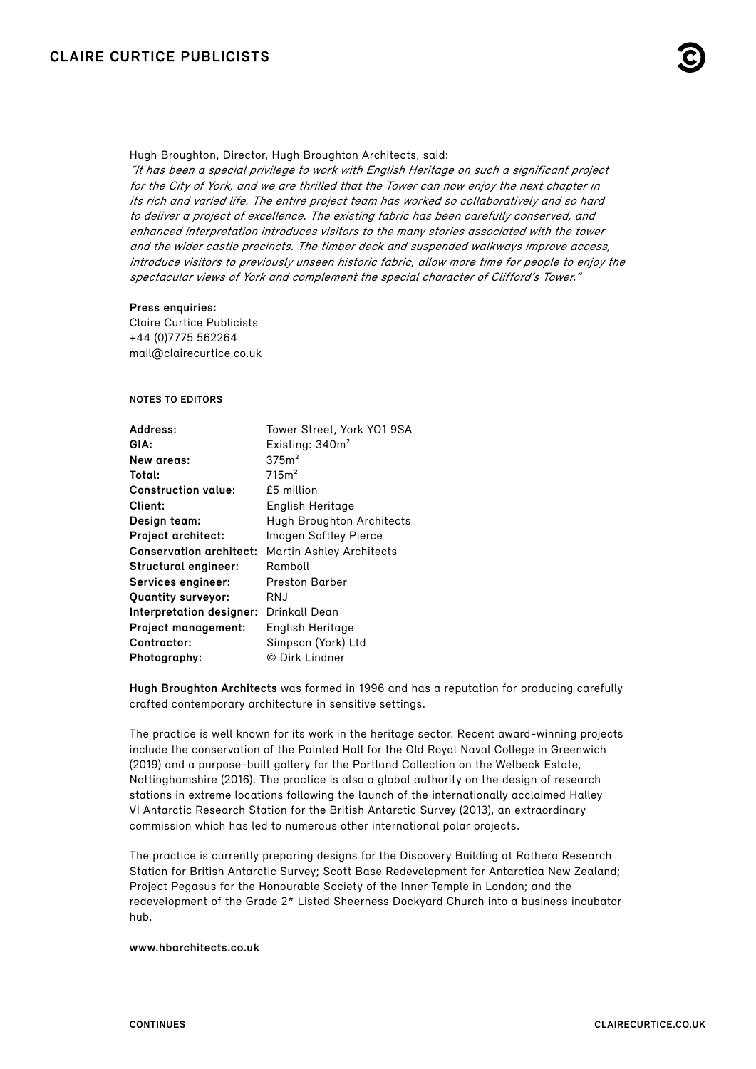

Hugh Broughton, Director, Hugh Broughton Architects, said:

"It has been a special privilege to work with English Heritage on such a significant project for the City of York, and we are thrilled that the Tower can now enjoy the next chapter in its rich and varied life. The entire project team has worked so collaboratively and so hard to deliver a project of excellence. The existing fabric has been carefully conserved, and enhanced interpretation introduces visitors to the many stories associated with the tower and the wider castle precincts. The timber deck and suspended walkways improve access, introduce visitors to previously unseen historic fabric, allow more time for people to enjoy the spectacular views of York and complement the special character of Clifford's Tower."

#### **Press enquiries:**

Claire Curtice Publicists +44 (0)7775 562264 [mail@clairecurtice.co.uk](mailto:mail@clairecurtice.co.uk?subject=Hugh Broughton Architects - Clifford)

#### **NOTES TO EDITORS**

| Address:                       | Tower Street, York YO1 9SA       |
|--------------------------------|----------------------------------|
| GIA:                           | Existing: 340m <sup>2</sup>      |
| New areas:                     | 375m <sup>2</sup>                |
| Total:                         | 715m <sup>2</sup>                |
| <b>Construction value:</b>     | £5 million                       |
| Client:                        | English Heritage                 |
| Design team:                   | <b>Hugh Broughton Architects</b> |
| <b>Project architect:</b>      | Imogen Softley Pierce            |
| <b>Conservation architect:</b> | <b>Martin Ashley Architects</b>  |
| Structural engineer:           | Ramboll                          |
| Services engineer:             | Preston Barber                   |
| <b>Quantity surveyor:</b>      | RNJ                              |
| Interpretation designer:       | Drinkall Dean                    |
| <b>Project management:</b>     | English Heritage                 |
| Contractor:                    | Simpson (York) Ltd               |
| Photography:                   | © Dirk Lindner                   |

**Hugh Broughton Architects** was formed in 1996 and has a reputation for producing carefully crafted contemporary architecture in sensitive settings.

The practice is well known for its work in the heritage sector. Recent award-winning projects include the conservation of the Painted Hall for the Old Royal Naval College in Greenwich (2019) and a purpose-built gallery for the Portland Collection on the Welbeck Estate, Nottinghamshire (2016). The practice is also a global authority on the design of research stations in extreme locations following the launch of the internationally acclaimed Halley VI Antarctic Research Station for the British Antarctic Survey (2013), an extraordinary commission which has led to numerous other international polar projects.

The practice is currently preparing designs for the Discovery Building at Rothera Research Station for British Antarctic Survey; Scott Base Redevelopment for Antarctica New Zealand; Project Pegasus for the Honourable Society of the Inner Temple in London; and the redevelopment of the Grade 2\* Listed Sheerness Dockyard Church into a business incubator hub.

#### **[www.hbarchitects.co.uk](https://hbarchitects.co.uk)**